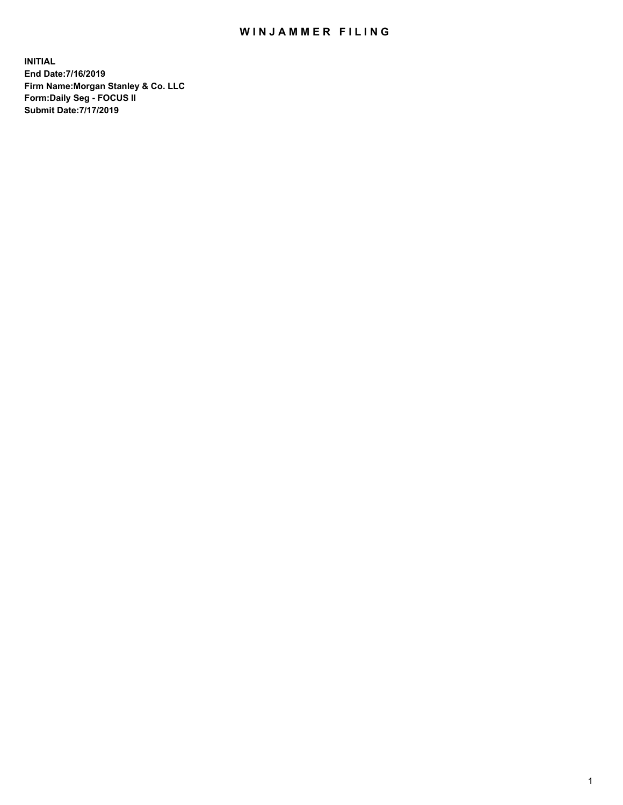## WIN JAMMER FILING

**INITIAL End Date:7/16/2019 Firm Name:Morgan Stanley & Co. LLC Form:Daily Seg - FOCUS II Submit Date:7/17/2019**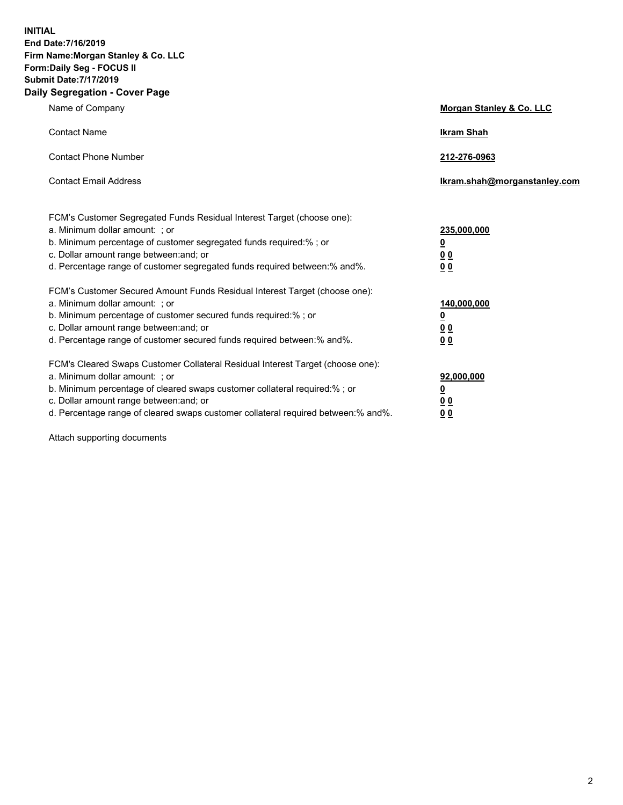**INITIAL End Date:7/16/2019 Firm Name:Morgan Stanley & Co. LLC Form:Daily Seg - FOCUS II Submit Date:7/17/2019 Daily Segregation - Cover Page**

| Name of Company                                                                   | Morgan Stanley & Co. LLC     |
|-----------------------------------------------------------------------------------|------------------------------|
| <b>Contact Name</b>                                                               | <b>Ikram Shah</b>            |
| <b>Contact Phone Number</b>                                                       | 212-276-0963                 |
| <b>Contact Email Address</b>                                                      | Ikram.shah@morganstanley.com |
| FCM's Customer Segregated Funds Residual Interest Target (choose one):            |                              |
| a. Minimum dollar amount: ; or                                                    | 235,000,000                  |
| b. Minimum percentage of customer segregated funds required:% ; or                | <u>0</u>                     |
| c. Dollar amount range between: and; or                                           | <u>0 0</u>                   |
| d. Percentage range of customer segregated funds required between: % and %.       | 00                           |
| FCM's Customer Secured Amount Funds Residual Interest Target (choose one):        |                              |
| a. Minimum dollar amount: ; or                                                    | 140,000,000                  |
| b. Minimum percentage of customer secured funds required:%; or                    | <u>0</u>                     |
| c. Dollar amount range between: and; or                                           | 0 <sub>0</sub>               |
| d. Percentage range of customer secured funds required between:% and%.            | 0 <sub>0</sub>               |
| FCM's Cleared Swaps Customer Collateral Residual Interest Target (choose one):    |                              |
| a. Minimum dollar amount: ; or                                                    | 92,000,000                   |
| b. Minimum percentage of cleared swaps customer collateral required:% ; or        | <u>0</u>                     |
| c. Dollar amount range between: and; or                                           | 0 Q                          |
| d. Percentage range of cleared swaps customer collateral required between:% and%. | 00                           |

Attach supporting documents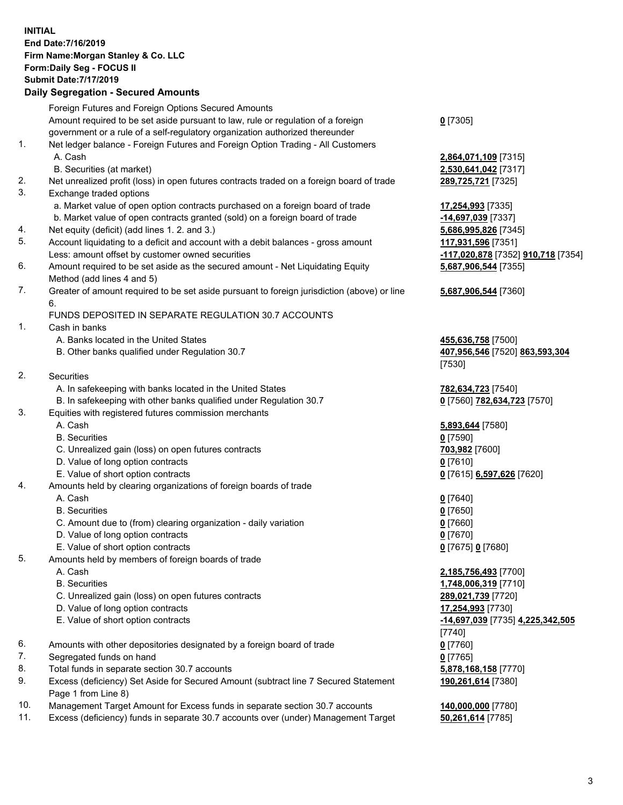## **INITIAL End Date:7/16/2019 Firm Name:Morgan Stanley & Co. LLC Form:Daily Seg - FOCUS II Submit Date:7/17/2019**

## **Daily Segregation - Secured Amounts**

Foreign Futures and Foreign Options Secured Amounts Amount required to be set aside pursuant to law, rule or regulation of a foreign government or a rule of a self-regulatory organization authorized thereunder 1. Net ledger balance - Foreign Futures and Foreign Option Trading - All Customers A. Cash **2,864,071,109** [7315] B. Securities (at market) **2,530,641,042** [7317] 2. Net unrealized profit (loss) in open futures contracts traded on a foreign board of trade **289,725,721** [7325] 3. Exchange traded options a. Market value of open option contracts purchased on a foreign board of trade **17,254,993** [7335] b. Market value of open contracts granted (sold) on a foreign board of trade **-14,697,039** [7337] 4. Net equity (deficit) (add lines 1. 2. and 3.) **5,686,995,826** [7345] 5. Account liquidating to a deficit and account with a debit balances - gross amount **117,931,596** [7351] Less: amount offset by customer owned securities **-117,020,878** [7352] **910,718** [7354] 6. Amount required to be set aside as the secured amount - Net Liquidating Equity Method (add lines 4 and 5) 7. Greater of amount required to be set aside pursuant to foreign jurisdiction (above) or line 6. FUNDS DEPOSITED IN SEPARATE REGULATION 30.7 ACCOUNTS 1. Cash in banks A. Banks located in the United States **455,636,758** [7500] B. Other banks qualified under Regulation 30.7 **407,956,546** [7520] **863,593,304** 2. Securities A. In safekeeping with banks located in the United States **782,634,723** [7540] B. In safekeeping with other banks qualified under Regulation 30.7 **0** [7560] **782,634,723** [7570] 3. Equities with registered futures commission merchants A. Cash **5,893,644** [7580] B. Securities **0** [7590] C. Unrealized gain (loss) on open futures contracts **703,982** [7600] D. Value of long option contracts **0** [7610] E. Value of short option contracts **0** [7615] **6,597,626** [7620] 4. Amounts held by clearing organizations of foreign boards of trade A. Cash **0** [7640] B. Securities **0** [7650] C. Amount due to (from) clearing organization - daily variation **0** [7660] D. Value of long option contracts **0** [7670] E. Value of short option contracts **0** [7675] **0** [7680] 5. Amounts held by members of foreign boards of trade A. Cash **2,185,756,493** [7700] B. Securities **1,748,006,319** [7710] C. Unrealized gain (loss) on open futures contracts **289,021,739** [7720] D. Value of long option contracts **17,254,993** [7730] E. Value of short option contracts **-14,697,039** [7735] **4,225,342,505** 6. Amounts with other depositories designated by a foreign board of trade **0** [7760] 7. Segregated funds on hand **0** [7765] 8. Total funds in separate section 30.7 accounts **5,878,168,158** [7770] 9. Excess (deficiency) Set Aside for Secured Amount (subtract line 7 Secured Statement Page 1 from Line 8)

- 10. Management Target Amount for Excess funds in separate section 30.7 accounts **140,000,000** [7780]
- 11. Excess (deficiency) funds in separate 30.7 accounts over (under) Management Target **50,261,614** [7785]

**0** [7305]

**5,687,906,544** [7355]

## **5,687,906,544** [7360]

[7530]

[7740] **190,261,614** [7380]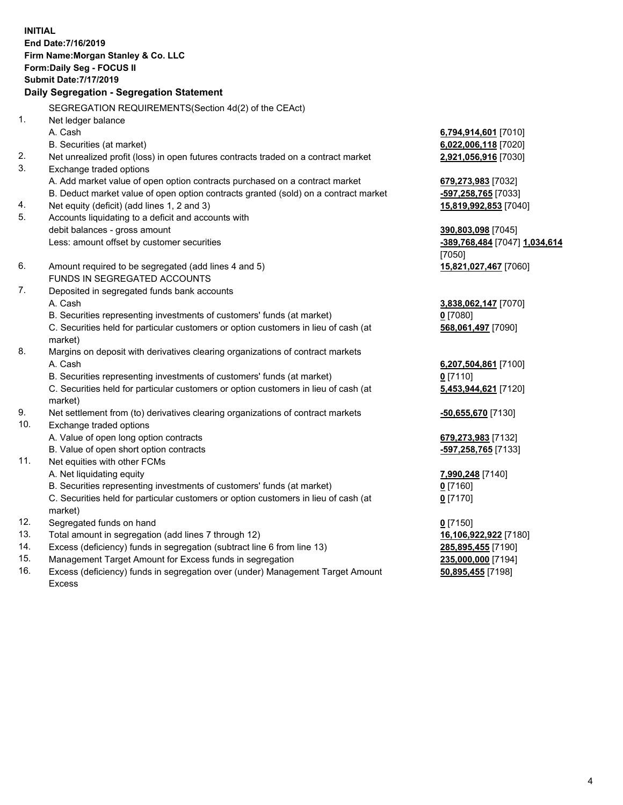**INITIAL End Date:7/16/2019 Firm Name:Morgan Stanley & Co. LLC Form:Daily Seg - FOCUS II Submit Date:7/17/2019 Daily Segregation - Segregation Statement** SEGREGATION REQUIREMENTS(Section 4d(2) of the CEAct) 1. Net ledger balance A. Cash **6,794,914,601** [7010] B. Securities (at market) **6,022,006,118** [7020] 2. Net unrealized profit (loss) in open futures contracts traded on a contract market **2,921,056,916** [7030] 3. Exchange traded options A. Add market value of open option contracts purchased on a contract market **679,273,983** [7032] B. Deduct market value of open option contracts granted (sold) on a contract market **-597,258,765** [7033] 4. Net equity (deficit) (add lines 1, 2 and 3) **15,819,992,853** [7040] 5. Accounts liquidating to a deficit and accounts with debit balances - gross amount **390,803,098** [7045] Less: amount offset by customer securities **and the securities of the securities of the securities of the securities and the securities of the securities of the securities of the securities of the securities of the securit** [7050] 6. Amount required to be segregated (add lines 4 and 5) **15,821,027,467** [7060] FUNDS IN SEGREGATED ACCOUNTS 7. Deposited in segregated funds bank accounts A. Cash **3,838,062,147** [7070] B. Securities representing investments of customers' funds (at market) **0** [7080] C. Securities held for particular customers or option customers in lieu of cash (at market) **568,061,497** [7090] 8. Margins on deposit with derivatives clearing organizations of contract markets A. Cash **6,207,504,861** [7100] B. Securities representing investments of customers' funds (at market) **0** [7110] C. Securities held for particular customers or option customers in lieu of cash (at market) **5,453,944,621** [7120] 9. Net settlement from (to) derivatives clearing organizations of contract markets **-50,655,670** [7130] 10. Exchange traded options A. Value of open long option contracts **679,273,983** [7132] B. Value of open short option contracts **and the set of our of the set of our of the set of the set of the set of the set of the set of the set of the set of the set of the set of the set of the set of the set of the set o** 11. Net equities with other FCMs A. Net liquidating equity **7,990,248** [7140] B. Securities representing investments of customers' funds (at market) **0** [7160] C. Securities held for particular customers or option customers in lieu of cash (at market) **0** [7170] 12. Segregated funds on hand **0** [7150] 13. Total amount in segregation (add lines 7 through 12) **16,106,922,922** [7180] 14. Excess (deficiency) funds in segregation (subtract line 6 from line 13) **285,895,455** [7190]

- 15. Management Target Amount for Excess funds in segregation **235,000,000** [7194]
- 16. Excess (deficiency) funds in segregation over (under) Management Target Amount Excess

**50,895,455** [7198]